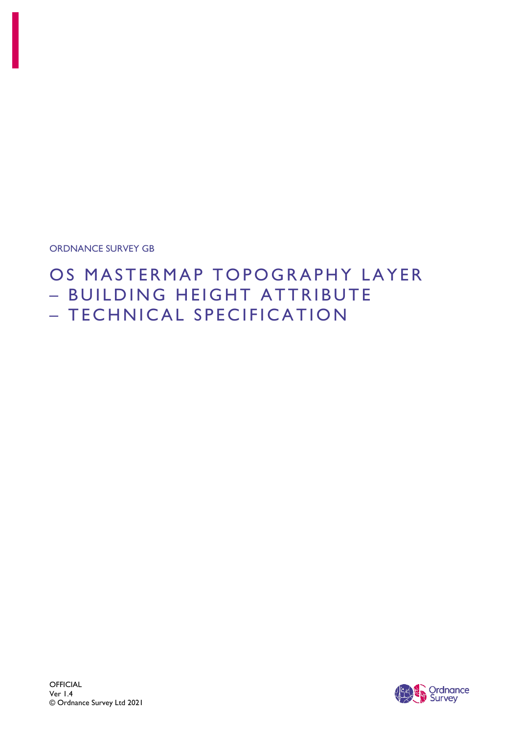ORDNANCE SURVEY GB

# OS MASTERMAP TOPOGRAPHY LAYER – BUILDING HEIGHT ATTRIBUTE – TECHNICAL SPECIFICATION

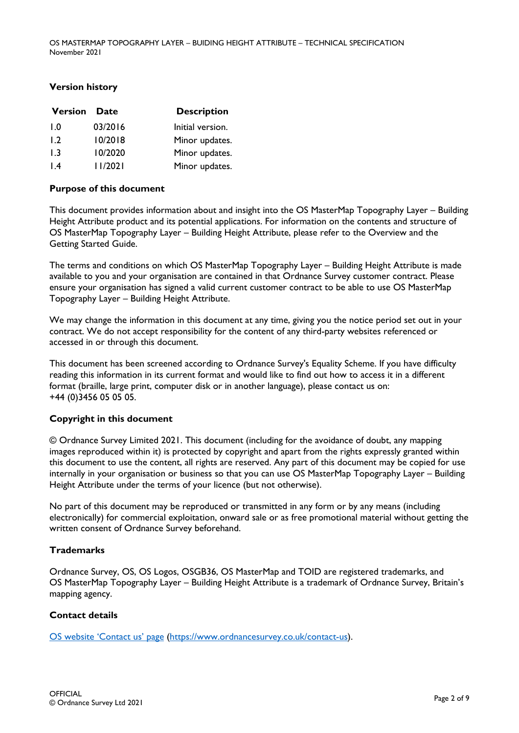### **Version history**

| <b>Version</b>   | <b>Date</b> | <b>Description</b> |
|------------------|-------------|--------------------|
| 1.0              | 03/2016     | Initial version.   |
| 1.2              | 10/2018     | Minor updates.     |
| 1.3              | 10/2020     | Minor updates.     |
| $\overline{1.4}$ | 1/2021      | Minor updates.     |

### **Purpose of this document**

This document provides information about and insight into the OS MasterMap Topography Layer – Building Height Attribute product and its potential applications. For information on the contents and structure of OS MasterMap Topography Layer – Building Height Attribute, please refer to the Overview and the Getting Started Guide.

The terms and conditions on which OS MasterMap Topography Layer – Building Height Attribute is made available to you and your organisation are contained in that Ordnance Survey customer contract. Please ensure your organisation has signed a valid current customer contract to be able to use OS MasterMap Topography Layer – Building Height Attribute.

We may change the information in this document at any time, giving you the notice period set out in your contract. We do not accept responsibility for the content of any third-party websites referenced or accessed in or through this document.

This document has been screened according to Ordnance Survey's Equality Scheme. If you have difficulty reading this information in its current format and would like to find out how to access it in a different format (braille, large print, computer disk or in another language), please contact us on: +44 (0)3456 05 05 05.

### **Copyright in this document**

© Ordnance Survey Limited 2021. This document (including for the avoidance of doubt, any mapping images reproduced within it) is protected by copyright and apart from the rights expressly granted within this document to use the content, all rights are reserved. Any part of this document may be copied for use internally in your organisation or business so that you can use OS MasterMap Topography Layer – Building Height Attribute under the terms of your licence (but not otherwise).

No part of this document may be reproduced or transmitted in any form or by any means (including electronically) for commercial exploitation, onward sale or as free promotional material without getting the written consent of Ordnance Survey beforehand.

#### **Trademarks**

Ordnance Survey, OS, OS Logos, OSGB36, OS MasterMap and TOID are registered trademarks, and OS MasterMap Topography Layer – Building Height Attribute is a trademark of Ordnance Survey, Britain's mapping agency.

### **Contact details**

[OS website 'Contact us' page](https://www.ordnancesurvey.co.uk/contact-us) [\(https://www.ordnancesurvey.co.uk/contact-us\)](https://www.ordnancesurvey.co.uk/contact-us).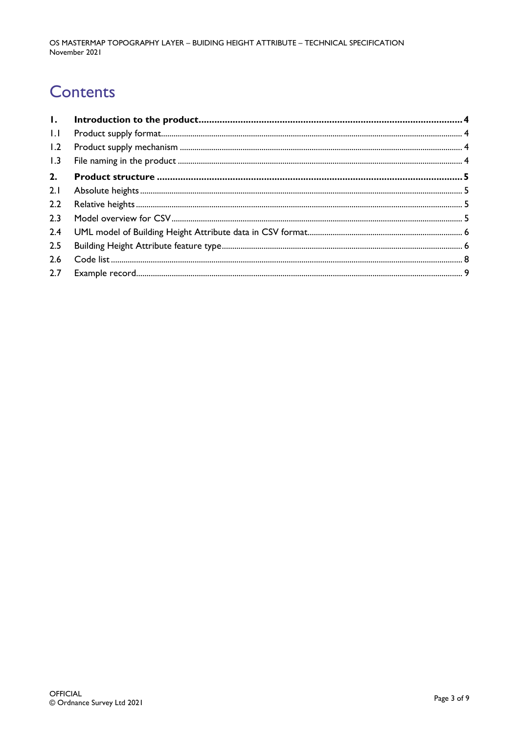# **Contents**

| $  \cdot  $ |  |
|-------------|--|
| 1.2         |  |
| 1.3         |  |
| 2.          |  |
| 2.1         |  |
| 2.2         |  |
| 2.3         |  |
| 2.4         |  |
| 2.5         |  |
| 2.6         |  |
|             |  |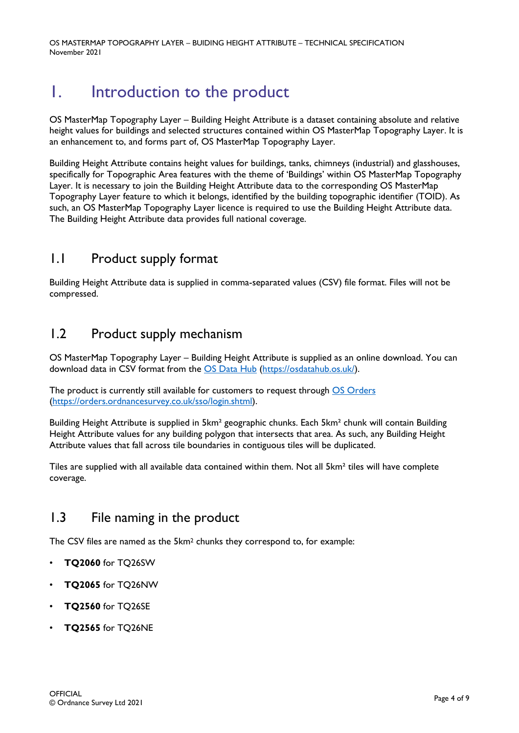OS MASTERMAP TOPOGRAPHY LAYER – BUIDING HEIGHT ATTRIBUTE – TECHNICAL SPECIFICATION November 2021

# <span id="page-3-0"></span>1. Introduction to the product

OS MasterMap Topography Layer – Building Height Attribute is a dataset containing absolute and relative height values for buildings and selected structures contained within OS MasterMap Topography Layer. It is an enhancement to, and forms part of, OS MasterMap Topography Layer.

Building Height Attribute contains height values for buildings, tanks, chimneys (industrial) and glasshouses, specifically for Topographic Area features with the theme of 'Buildings' within OS MasterMap Topography Layer. It is necessary to join the Building Height Attribute data to the corresponding OS MasterMap Topography Layer feature to which it belongs, identified by the building topographic identifier (TOID). As such, an OS MasterMap Topography Layer licence is required to use the Building Height Attribute data. The Building Height Attribute data provides full national coverage.

## <span id="page-3-1"></span>1.1 Product supply format

Building Height Attribute data is supplied in comma-separated values (CSV) file format. Files will not be compressed.

## <span id="page-3-2"></span>1.2 Product supply mechanism

OS MasterMap Topography Layer – Building Height Attribute is supplied as an online download. You can download data in CSV format from the [OS Data Hub](https://osdatahub.os.uk/) [\(https://osdatahub.os.uk/\)](https://osdatahub.os.uk/).

The product is currently still available for customers to request through OS [Orders](https://orders.ordnancesurvey.co.uk/sso/login.shtml) [\(https://orders.ordnancesurvey.co.uk/sso/login.shtml\)](https://orders.ordnancesurvey.co.uk/sso/login.shtml).

Building Height Attribute is supplied in 5km² geographic chunks. Each 5km² chunk will contain Building Height Attribute values for any building polygon that intersects that area. As such, any Building Height Attribute values that fall across tile boundaries in contiguous tiles will be duplicated.

Tiles are supplied with all available data contained within them. Not all 5km² tiles will have complete coverage.

## <span id="page-3-3"></span>1.3 File naming in the product

The CSV files are named as the 5km2 chunks they correspond to, for example:

- **TQ2060** for TQ26SW
- **TQ2065** for TQ26NW
- **TQ2560** for TQ26SE
- **TQ2565** for TQ26NE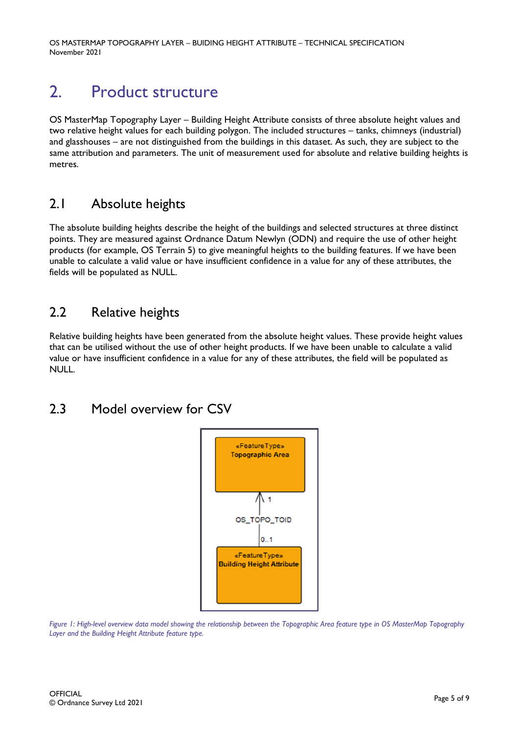OS MASTERMAP TOPOGRAPHY LAYER – BUIDING HEIGHT ATTRIBUTE – TECHNICAL SPECIFICATION November 2021

# <span id="page-4-0"></span>2. Product structure

OS MasterMap Topography Layer – Building Height Attribute consists of three absolute height values and two relative height values for each building polygon. The included structures – tanks, chimneys (industrial) and glasshouses – are not distinguished from the buildings in this dataset. As such, they are subject to the same attribution and parameters. The unit of measurement used for absolute and relative building heights is metres.

## <span id="page-4-1"></span>2.1 Absolute heights

The absolute building heights describe the height of the buildings and selected structures at three distinct points. They are measured against Ordnance Datum Newlyn (ODN) and require the use of other height products (for example, OS Terrain 5) to give meaningful heights to the building features. If we have been unable to calculate a valid value or have insufficient confidence in a value for any of these attributes, the fields will be populated as NULL.

## <span id="page-4-2"></span>2.2 Relative heights

Relative building heights have been generated from the absolute height values. These provide height values that can be utilised without the use of other height products. If we have been unable to calculate a valid value or have insufficient confidence in a value for any of these attributes, the field will be populated as NULL.

# <span id="page-4-3"></span>2.3 Model overview for CSV



*Figure 1: High-level overview data model showing the relationship between the Topographic Area feature type in OS MasterMap Topography Layer and the Building Height Attribute feature type.*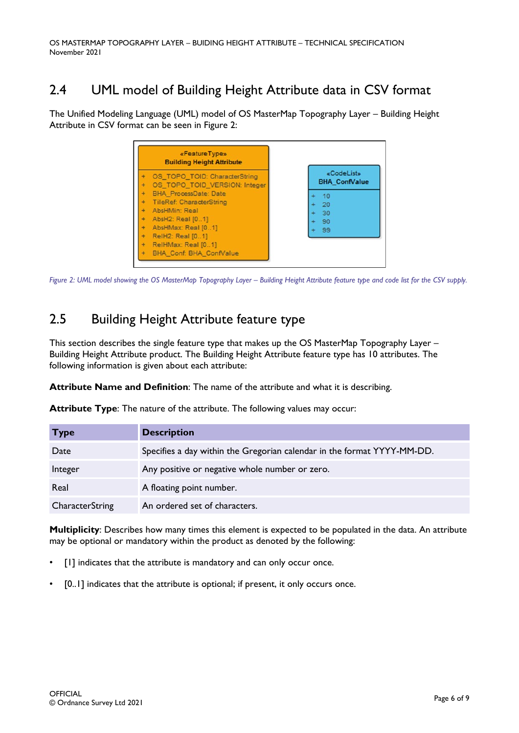# <span id="page-5-0"></span>2.4 UML model of Building Height Attribute data in CSV format

The Unified Modeling Language (UML) model of OS MasterMap Topography Layer – Building Height Attribute in CSV format can be seen in Figure 2:



<span id="page-5-1"></span>*Figure 2: UML model showing the OS MasterMap Topography Layer – Building Height Attribute feature type and code list for the CSV supply.*

# 2.5 Building Height Attribute feature type

This section describes the single feature type that makes up the OS MasterMap Topography Layer – Building Height Attribute product. The Building Height Attribute feature type has 10 attributes. The following information is given about each attribute:

**Attribute Name and Definition**: The name of the attribute and what it is describing.

|  | <b>Attribute Type</b> : The nature of the attribute. The following values may occur: |  |  |
|--|--------------------------------------------------------------------------------------|--|--|
|  |                                                                                      |  |  |

| <b>Type</b>            | <b>Description</b>                                                      |
|------------------------|-------------------------------------------------------------------------|
| Date                   | Specifies a day within the Gregorian calendar in the format YYYY-MM-DD. |
| Integer                | Any positive or negative whole number or zero.                          |
| Real                   | A floating point number.                                                |
| <b>CharacterString</b> | An ordered set of characters.                                           |

**Multiplicity**: Describes how many times this element is expected to be populated in the data. An attribute may be optional or mandatory within the product as denoted by the following:

- [1] indicates that the attribute is mandatory and can only occur once.
- [0..1] indicates that the attribute is optional; if present, it only occurs once.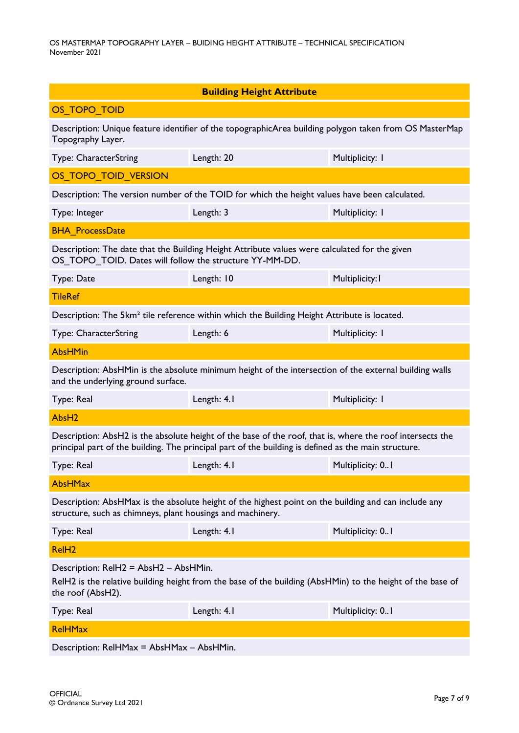| <b>Building Height Attribute</b>                                                                                                                                                                                  |                                                                                                         |                  |  |  |  |
|-------------------------------------------------------------------------------------------------------------------------------------------------------------------------------------------------------------------|---------------------------------------------------------------------------------------------------------|------------------|--|--|--|
| OS TOPO TOID                                                                                                                                                                                                      |                                                                                                         |                  |  |  |  |
| Description: Unique feature identifier of the topographicArea building polygon taken from OS MasterMap<br>Topography Layer.                                                                                       |                                                                                                         |                  |  |  |  |
| Type: CharacterString                                                                                                                                                                                             | Length: 20                                                                                              | Multiplicity: I  |  |  |  |
| OS_TOPO_TOID_VERSION                                                                                                                                                                                              |                                                                                                         |                  |  |  |  |
| Description: The version number of the TOID for which the height values have been calculated.                                                                                                                     |                                                                                                         |                  |  |  |  |
| Type: Integer                                                                                                                                                                                                     | Length: 3                                                                                               | Multiplicity: I  |  |  |  |
| <b>BHA ProcessDate</b>                                                                                                                                                                                            |                                                                                                         |                  |  |  |  |
| Description: The date that the Building Height Attribute values were calculated for the given<br>OS_TOPO_TOID. Dates will follow the structure YY-MM-DD.                                                          |                                                                                                         |                  |  |  |  |
| Type: Date                                                                                                                                                                                                        | Length: 10                                                                                              | Multiplicity: I  |  |  |  |
| <b>TileRef</b>                                                                                                                                                                                                    |                                                                                                         |                  |  |  |  |
|                                                                                                                                                                                                                   | Description: The 5km <sup>2</sup> tile reference within which the Building Height Attribute is located. |                  |  |  |  |
| Type: CharacterString                                                                                                                                                                                             | Length: 6                                                                                               | Multiplicity: I  |  |  |  |
| <b>AbsHMin</b>                                                                                                                                                                                                    |                                                                                                         |                  |  |  |  |
| and the underlying ground surface.                                                                                                                                                                                | Description: AbsHMin is the absolute minimum height of the intersection of the external building walls  |                  |  |  |  |
| Type: Real                                                                                                                                                                                                        | Length: 4.1                                                                                             | Multiplicity: I  |  |  |  |
| AbsH <sub>2</sub>                                                                                                                                                                                                 |                                                                                                         |                  |  |  |  |
| Description: AbsH2 is the absolute height of the base of the roof, that is, where the roof intersects the<br>principal part of the building. The principal part of the building is defined as the main structure. |                                                                                                         |                  |  |  |  |
| Type: Real                                                                                                                                                                                                        | Length: 4.1                                                                                             | Multiplicity: 01 |  |  |  |
| <b>AbsHMax</b>                                                                                                                                                                                                    |                                                                                                         |                  |  |  |  |
| Description: AbsHMax is the absolute height of the highest point on the building and can include any<br>structure, such as chimneys, plant housings and machinery.                                                |                                                                                                         |                  |  |  |  |
| Type: Real                                                                                                                                                                                                        | Length: 4.1                                                                                             | Multiplicity: 01 |  |  |  |
| RelH <sub>2</sub>                                                                                                                                                                                                 |                                                                                                         |                  |  |  |  |
| Description: RelH2 = AbsH2 - AbsHMin.<br>RelH2 is the relative building height from the base of the building (AbsHMin) to the height of the base of<br>the roof (AbsH2).                                          |                                                                                                         |                  |  |  |  |
| Type: Real                                                                                                                                                                                                        | Length: 4.1                                                                                             | Multiplicity: 01 |  |  |  |
| <b>RelHMax</b>                                                                                                                                                                                                    |                                                                                                         |                  |  |  |  |
| Description: RelHMax = AbsHMax - AbsHMin.                                                                                                                                                                         |                                                                                                         |                  |  |  |  |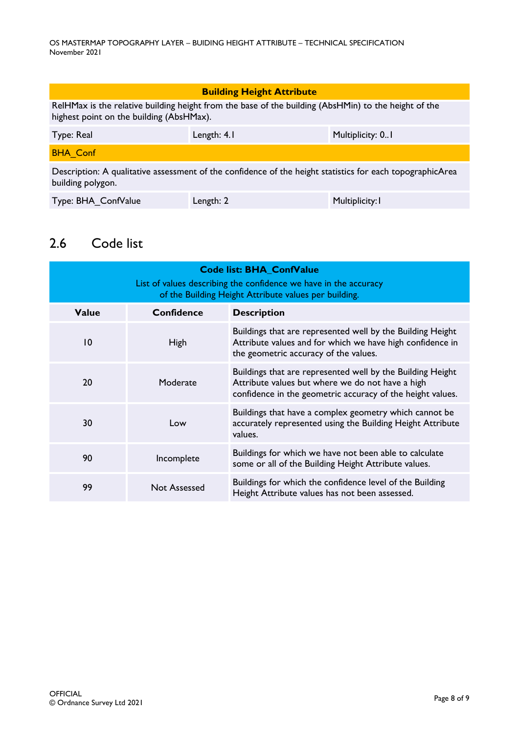| <b>Building Height Attribute</b>                                                                                                                 |             |                  |  |
|--------------------------------------------------------------------------------------------------------------------------------------------------|-------------|------------------|--|
| RelHMax is the relative building height from the base of the building (AbsHMin) to the height of the<br>highest point on the building (AbsHMax). |             |                  |  |
| Type: Real                                                                                                                                       | Length: 4.1 | Multiplicity: 01 |  |
| <b>BHA Conf</b>                                                                                                                                  |             |                  |  |
| Description: A qualitative assessment of the confidence of the height statistics for each topographicArea<br>building polygon.                   |             |                  |  |
| Type: BHA ConfValue                                                                                                                              | Length: 2   | Multiplicity: I  |  |

# <span id="page-7-0"></span>2.6 Code list

| <b>Code list: BHA_ConfValue</b><br>List of values describing the confidence we have in the accuracy<br>of the Building Height Attribute values per building. |                   |                                                                                                                                                                              |  |
|--------------------------------------------------------------------------------------------------------------------------------------------------------------|-------------------|------------------------------------------------------------------------------------------------------------------------------------------------------------------------------|--|
| <b>Value</b>                                                                                                                                                 | <b>Confidence</b> | <b>Description</b>                                                                                                                                                           |  |
| $\overline{10}$                                                                                                                                              | <b>High</b>       | Buildings that are represented well by the Building Height<br>Attribute values and for which we have high confidence in<br>the geometric accuracy of the values.             |  |
| 20                                                                                                                                                           | Moderate          | Buildings that are represented well by the Building Height<br>Attribute values but where we do not have a high<br>confidence in the geometric accuracy of the height values. |  |
| 30                                                                                                                                                           | Low               | Buildings that have a complex geometry which cannot be<br>accurately represented using the Building Height Attribute<br>values.                                              |  |
| 90                                                                                                                                                           | Incomplete        | Buildings for which we have not been able to calculate<br>some or all of the Building Height Attribute values.                                                               |  |
| 99                                                                                                                                                           | Not Assessed      | Buildings for which the confidence level of the Building<br>Height Attribute values has not been assessed.                                                                   |  |